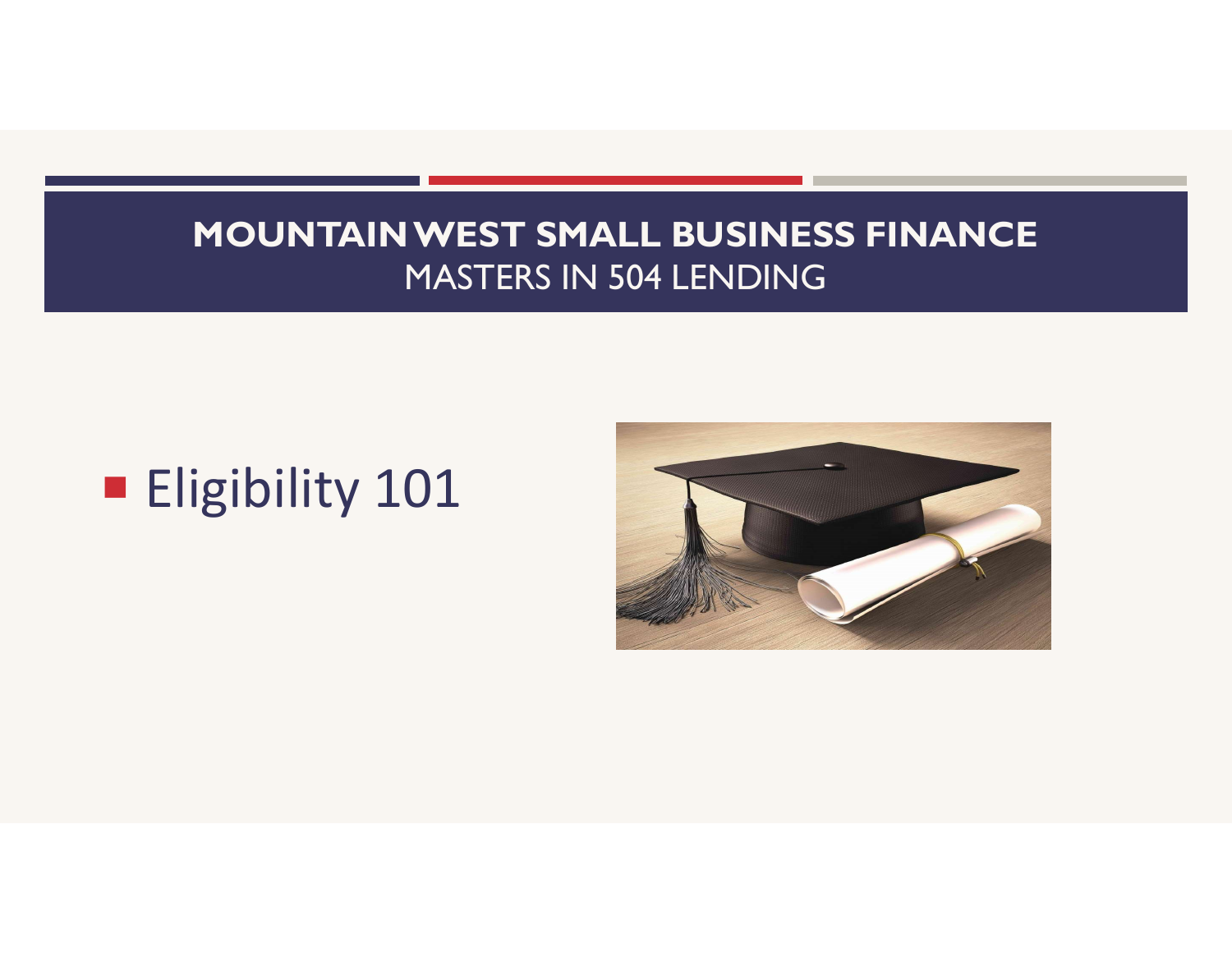# **Eligibility 101**

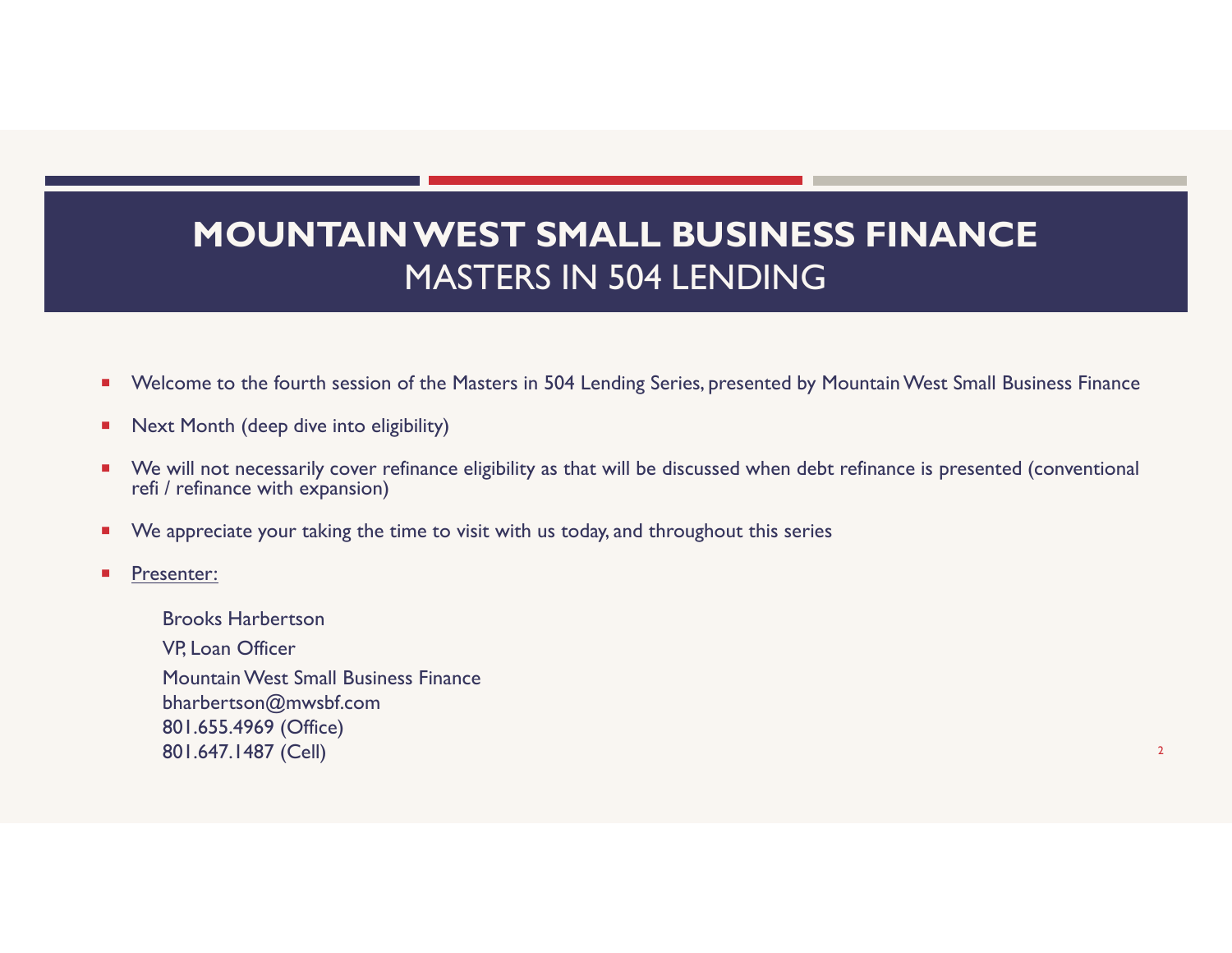- **Number 10 and 7 and 7 and 7 and 7 and 7 and 7 and 7 and 7 and 7 and 7 and 7 and 7 and 7 and 7 and 7 and 7 and 7** and 8 and 8 and 8 and 8 and 8 and 8 and 8 and 8 and 8 and 8 and 8 and 8 and 8 and 8 and 8 and 8 and 8 and 8
- **Next Month (deep dive into eligibility)**
- We will not necessarily cover refinance eligibility as that will be discussed when debt refinance is presented (conventional refi / refinance with expansion)
- We appreciate your taking the time to visit with us today, and throughout this series
- Presenter:

Brooks Harbertson VP, Loan Officer Mountain West Small Business Finance bharbertson@mwsbf.com 801.655.4969 (Office) 801.647.1487 (Cell) <sup>2</sup>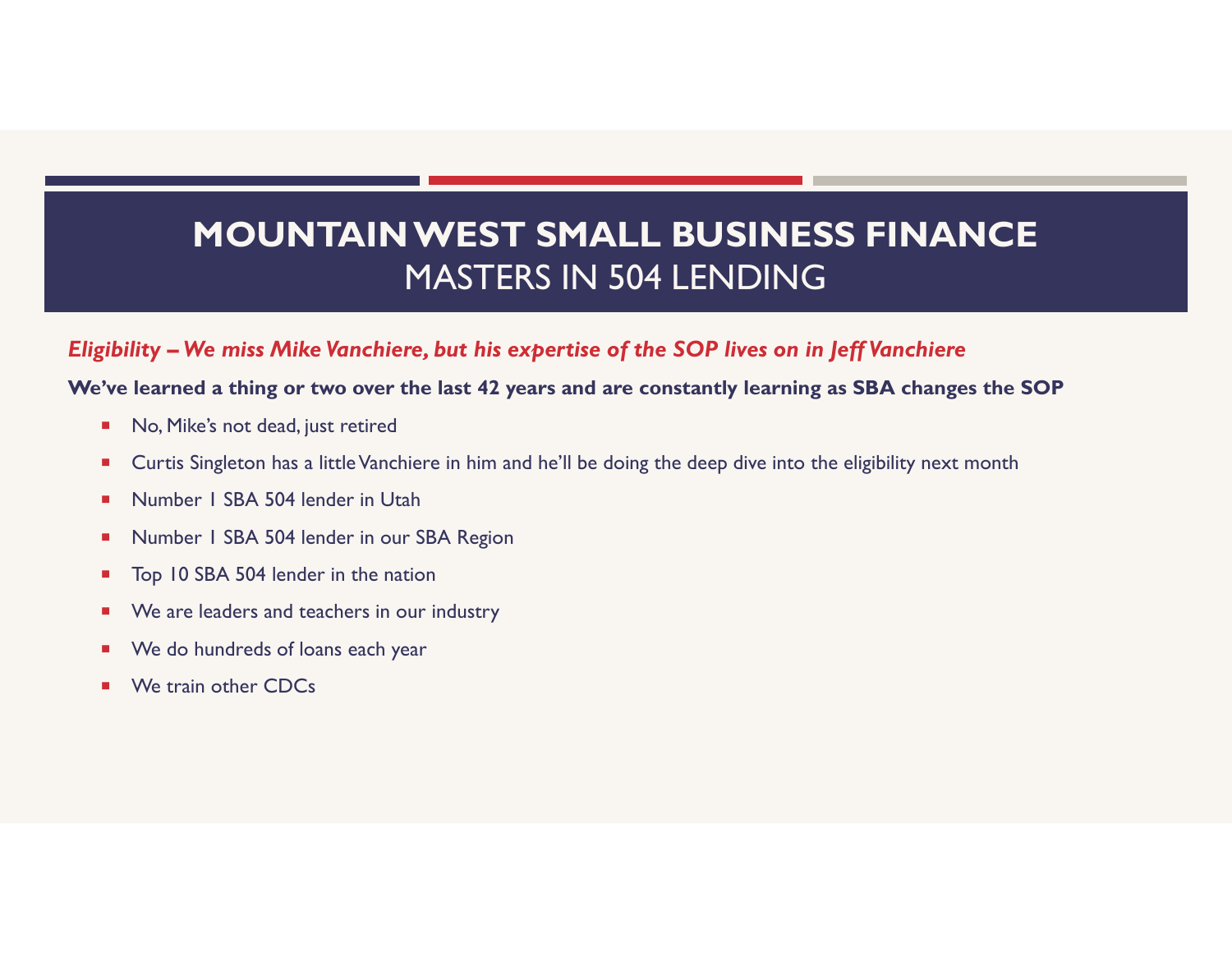# MOUNTAIN WEST SMALL BUSINESS FINANCE MASTERS IN 504 LENDING MOUNTAIN WEST SMALL BUSINESS FINANCE<br>MASTERS IN 504 LENDING<br>Eligibility – We miss Mike Vanchiere, but his expertise of the SOP lives on in Jeff Vanchiere<br>We've learned a thing or two over the last 42 years and are constant

### We've learned a thing or two over the last 42 years and are constantly learning as SBA changes the SOP

- No, Mike's not dead, just retired
- **EXT** Curtis Singleton has a little Vanchiere in him and he'll be doing the deep dive into the eligibility next month
- Number 1 SBA 504 lender in Utah
- Number 1 SBA 504 lender in our SBA Region
- Top 10 SBA 504 lender in the nation
- **We are leaders and teachers in our industry**
- **We do hundreds of loans each year**
- We train other CDCs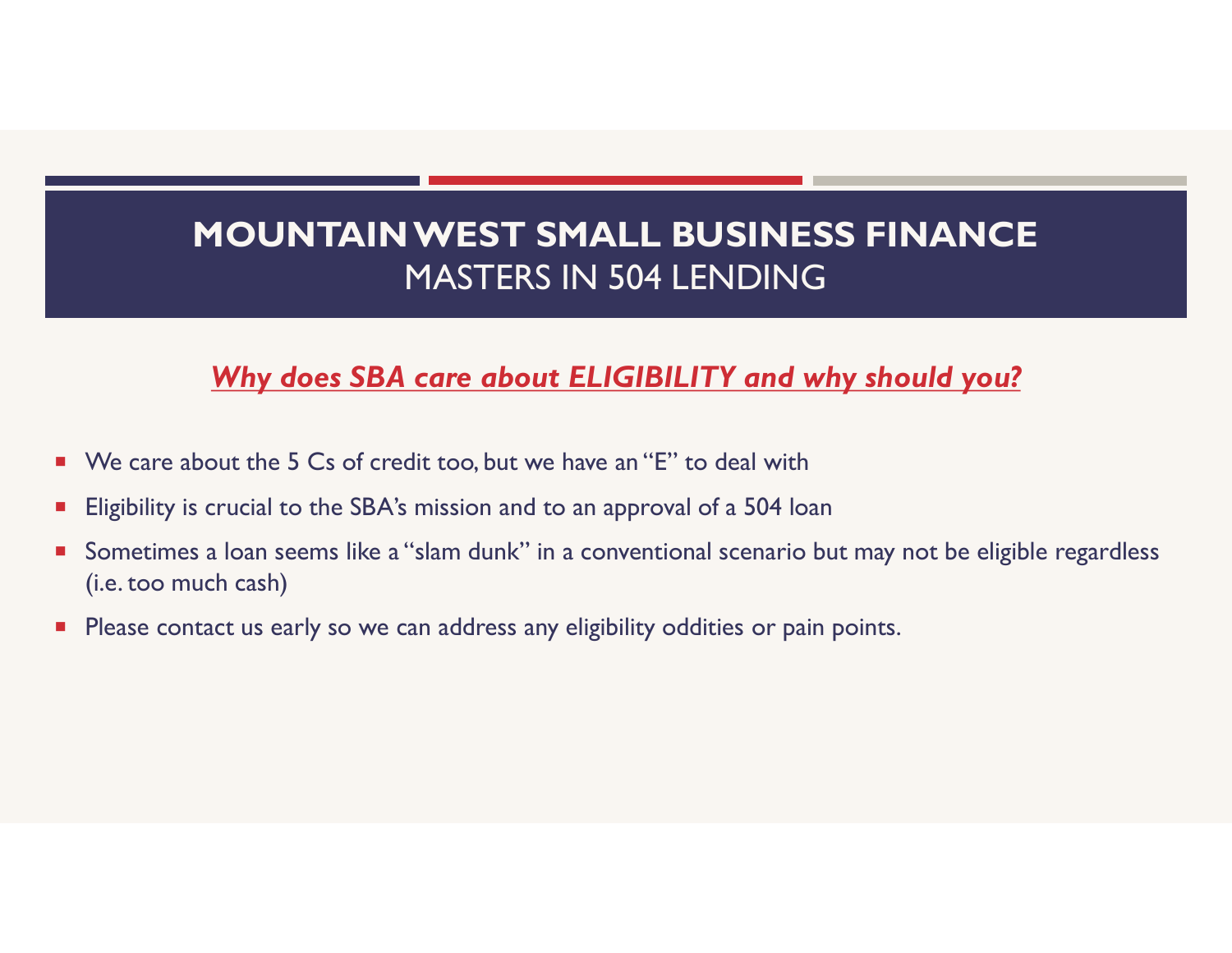## Why does SBA care about ELIGIBILITY and why should you?

- We care about the 5 Cs of credit too, but we have an "E" to deal with
- **Eligibility is crucial to the SBA's mission and to an approval of a 504 loan**
- **Sometimes a loan seems like a "slam dunk" in a conventional scenario but may not be eligible regardless** (i.e. too much cash)
- **Please contact us early so we can address any eligibility oddities or pain points.**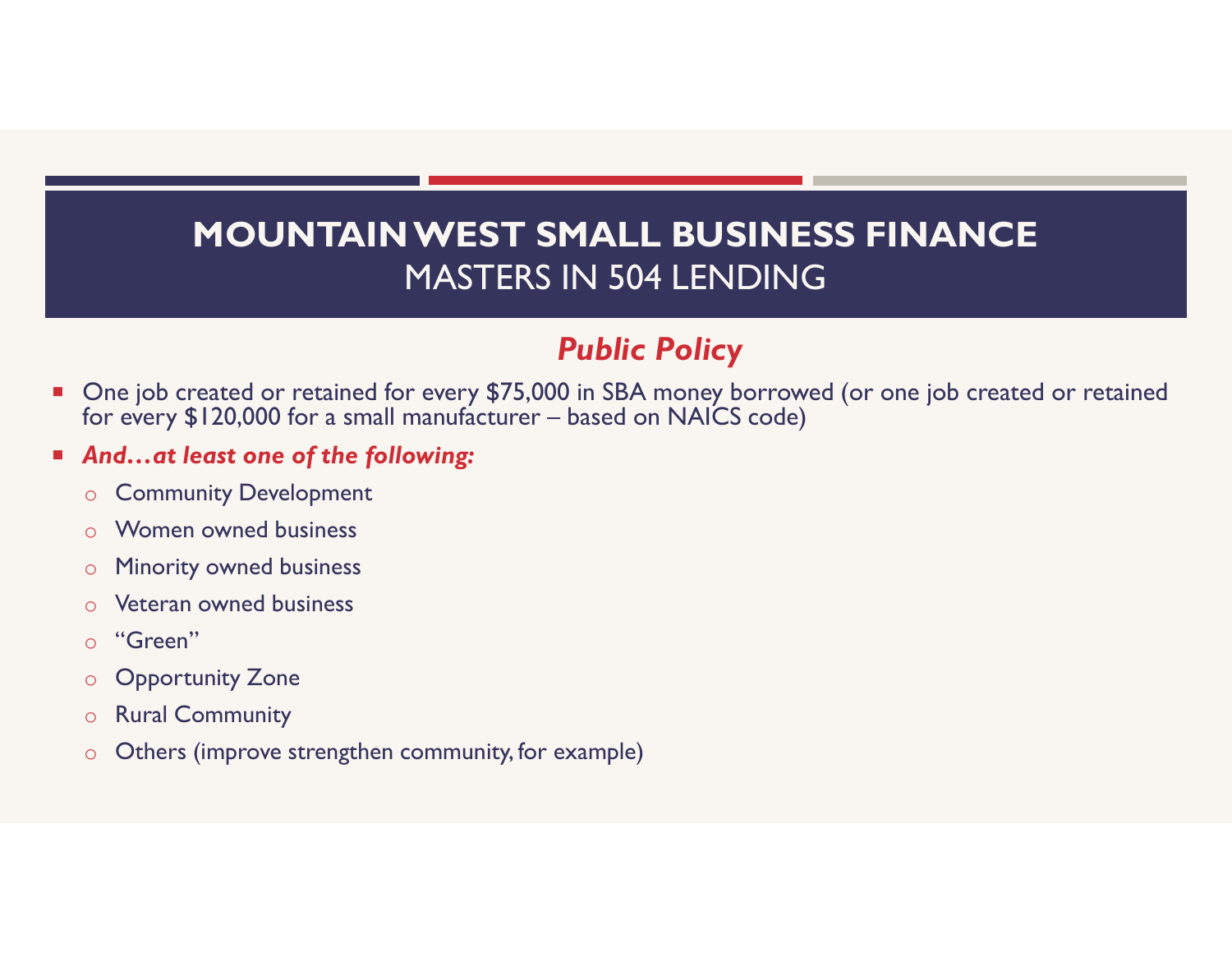# MOUNTAIN WEST SMALL BUSINESS FINANCE MASTERS IN 504 LENDING **FORMALL BUSINESS FINANCE**<br> **FORMALL BUSINESS FINANCE**<br>
MASTERS IN 504 LENDING<br>
Public Policy<br>
One job created or retained for every \$75,000 in SBA money borrowed (or one job created or<br>
And...at least one of the following

# Public Policy

- One job created or retained for every \$75,000 in SBA money borrowed (or one job created or retained
- And…at least one of the following:
	- o Community Development
	- o Women owned business
	- o Minority owned business
	- o Veteran owned business
	- o "Green"
	- o Opportunity Zone
	- o Rural Community
	- o Others (improve strengthen community, for example)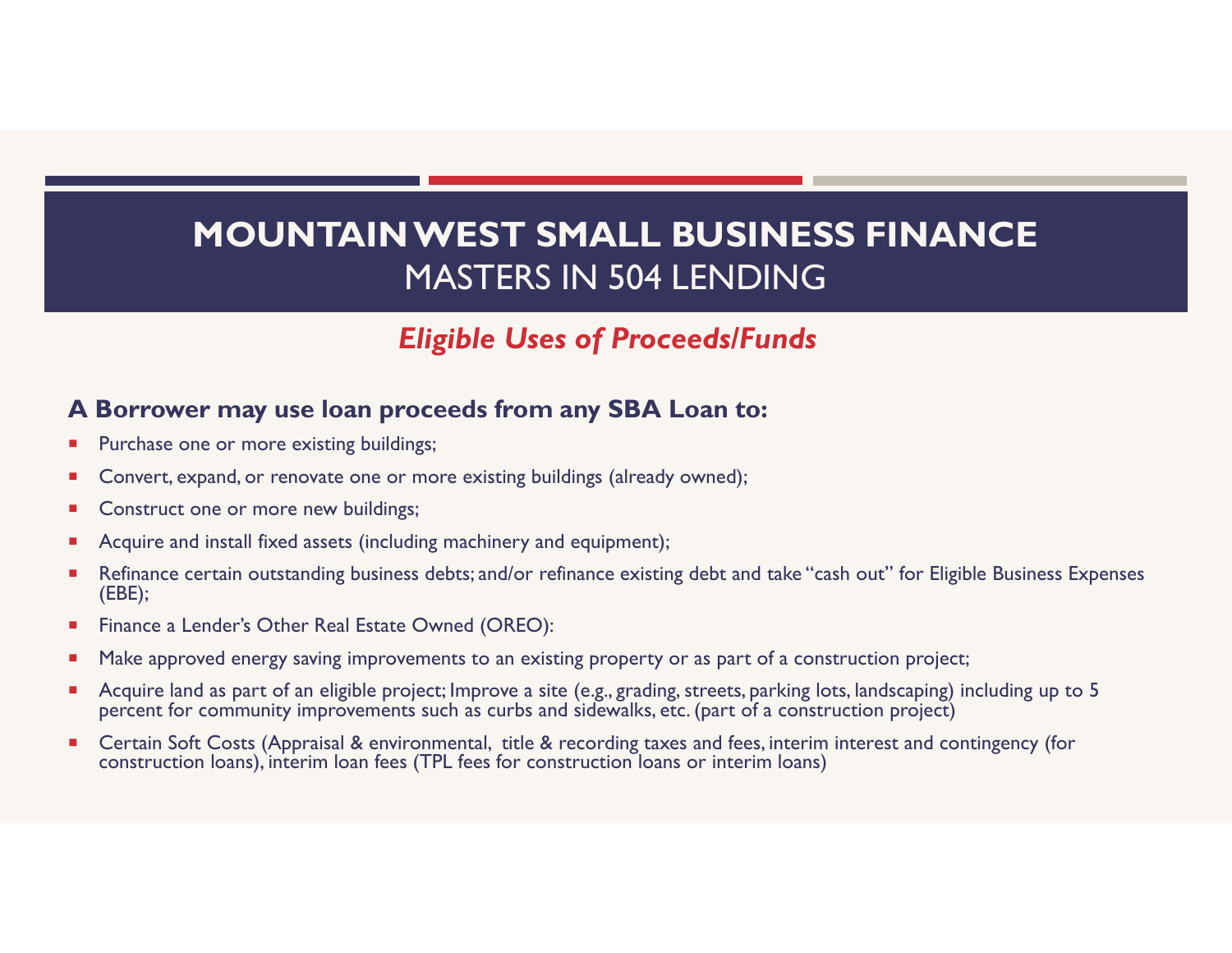## Eligible Uses of Proceeds/Funds

### A Borrower may use loan proceeds from any SBA Loan to:

- Purchase one or more existing buildings;
- Convert, expand, or renovate one or more existing buildings (already owned);
- Construct one or more new buildings;
- Acquire and install fixed assets (including machinery and equipment);
- Refinance certain outstanding business debts; and/or refinance existing debt and take "cash out" for Eligible Business Expenses (EBE);
- Finance a Lender's Other Real Estate Owned (OREO):
- **Make approved energy saving improvements to an existing property or as part of a construction project;**
- Acquire land as part of an eligible project; Improve a site (e.g., grading, streets, parking lots, landscaping) including up to 5 percent for community improvements such as curbs and sidewalks, etc. (part of a construction project)
- Certain Soft Costs (Appraisal & environmental, title & recording taxes and fees, interim interest and contingency (for construction loans), interim loan fees (TPL fees for construction loans or interim loans)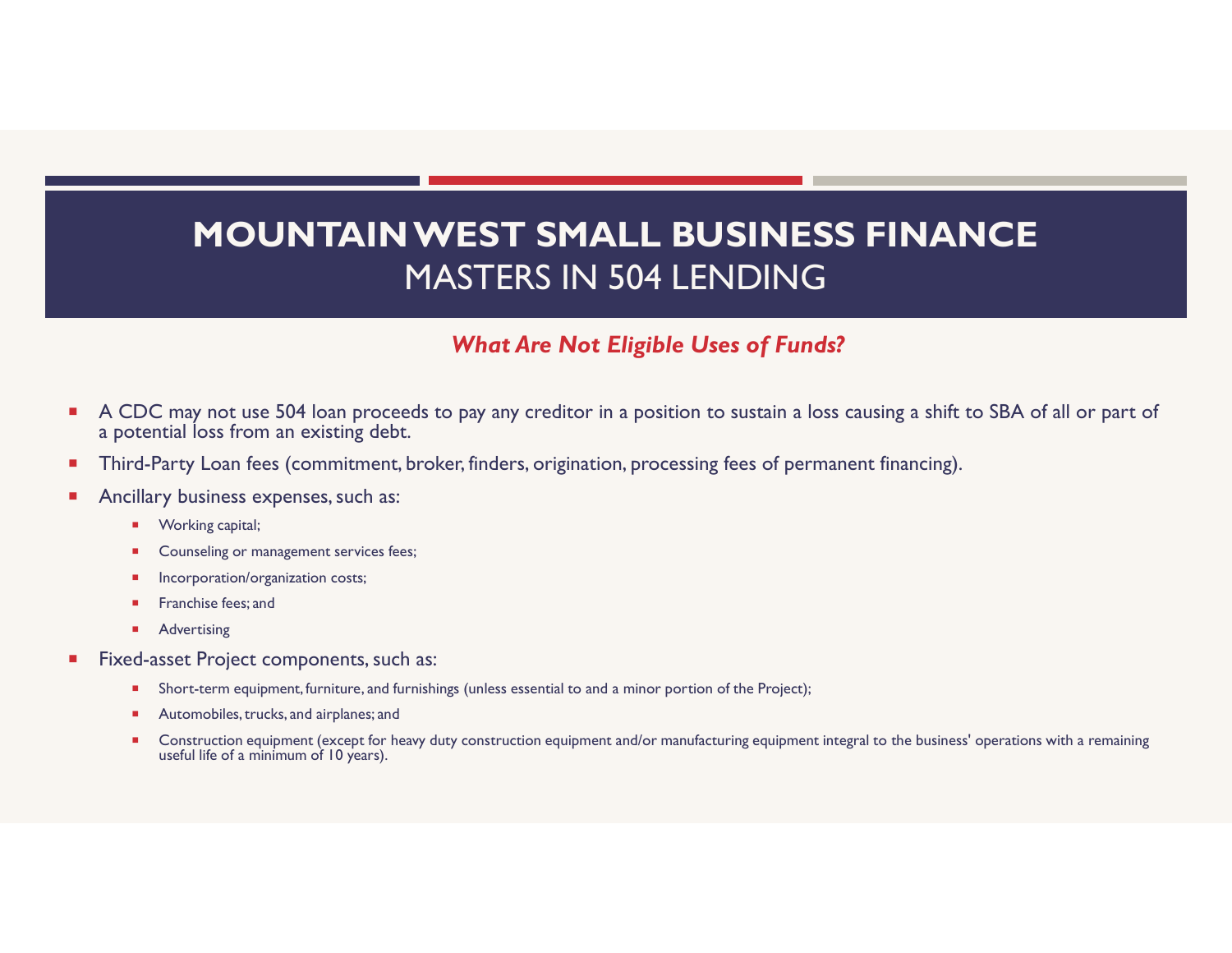# A CDC may not use 504 loan proceeds to pay any creditor in a position to sustain a loss causing a shift to SBA of all or part of<br>A CDC may not use 504 loan proceeds to pay any creditor in a position to sustain a loss causi MOUNTAIN WEST SMALL BUSINESS FINANCE MASTERS IN 504 LENDING

### What Are Not Eligible Uses of Funds?

- a potential loss from an existing debt. **Construction equipment (except for heavy duty construction equipment and/or manufacturing a shift to SBA of all or part of electrical loss from an existing debt.<br>
Construction equipment, broker, finders, origination, proc**
- Third-Party Loan fees (commitment, broker, finders, origination, processing fees of permanent financing).
- Ancillary business expenses, such as:
	- Working capital;
	- Counseling or management services fees;
	- Incorporation/organization costs;
	- Franchise fees; and
	- **Advertising**
- Fixed-asset Project components, such as:
	- Short-term equipment, furniture, and furnishings (unless essential to and a minor portion of the Project);
	- Automobiles, trucks, and airplanes; and
	- useful life of a minimum of 10 years).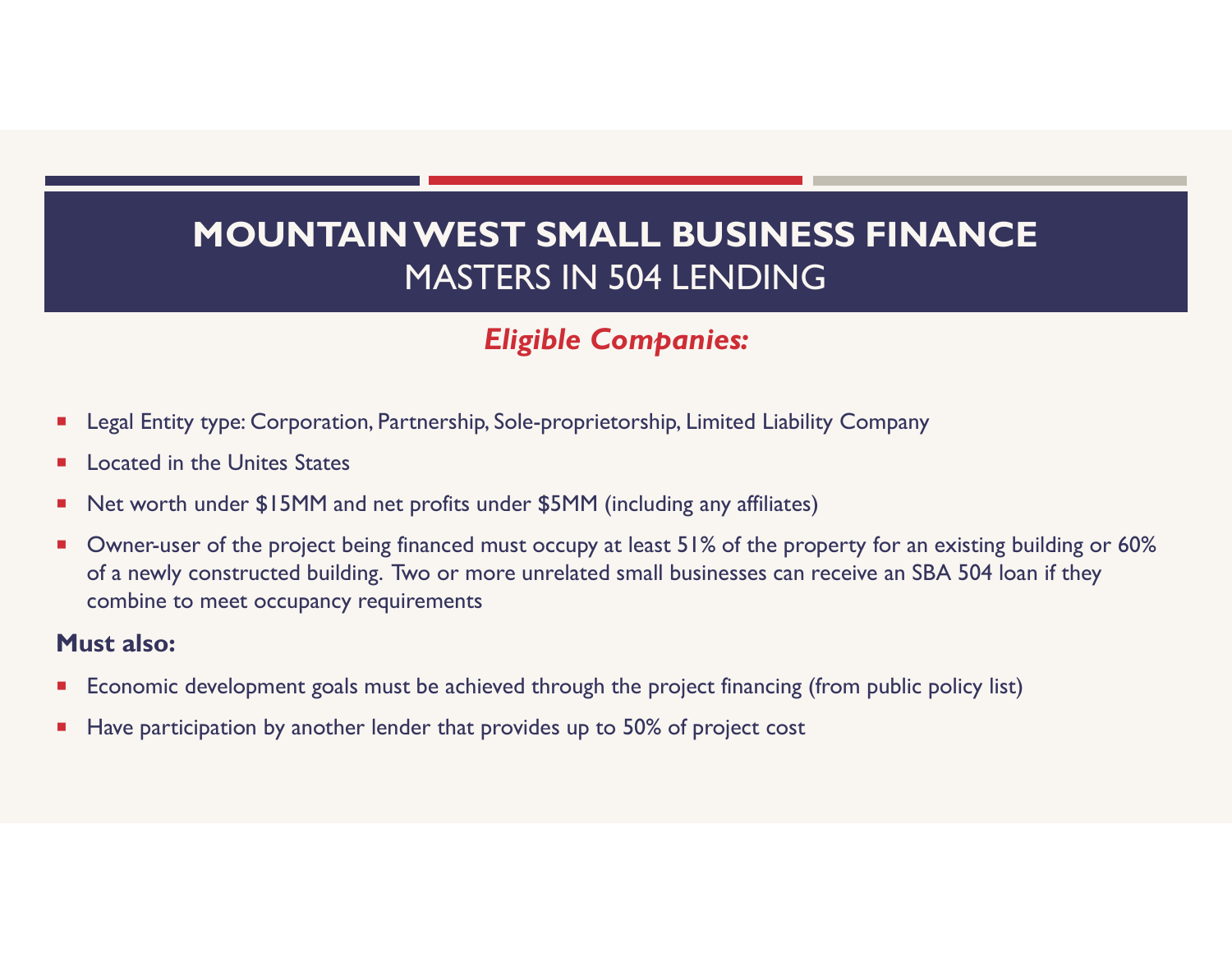# Eligible Companies:

- **E** Legal Entity type: Corporation, Partnership, Sole-proprietorship, Limited Liability Company
- **E** Located in the Unites States
- Net worth under \$15MM and net profits under \$5MM (including any affiliates)
- Owner-user of the project being financed must occupy at least 51% of the property for an existing building or 60% of a newly constructed building. Two or more unrelated small businesses can receive an SBA 504 loan if they combine to meet occupancy requirements

### Must also:

- **Economic development goals must be achieved through the project financing (from public policy list)**
- Have participation by another lender that provides up to 50% of project cost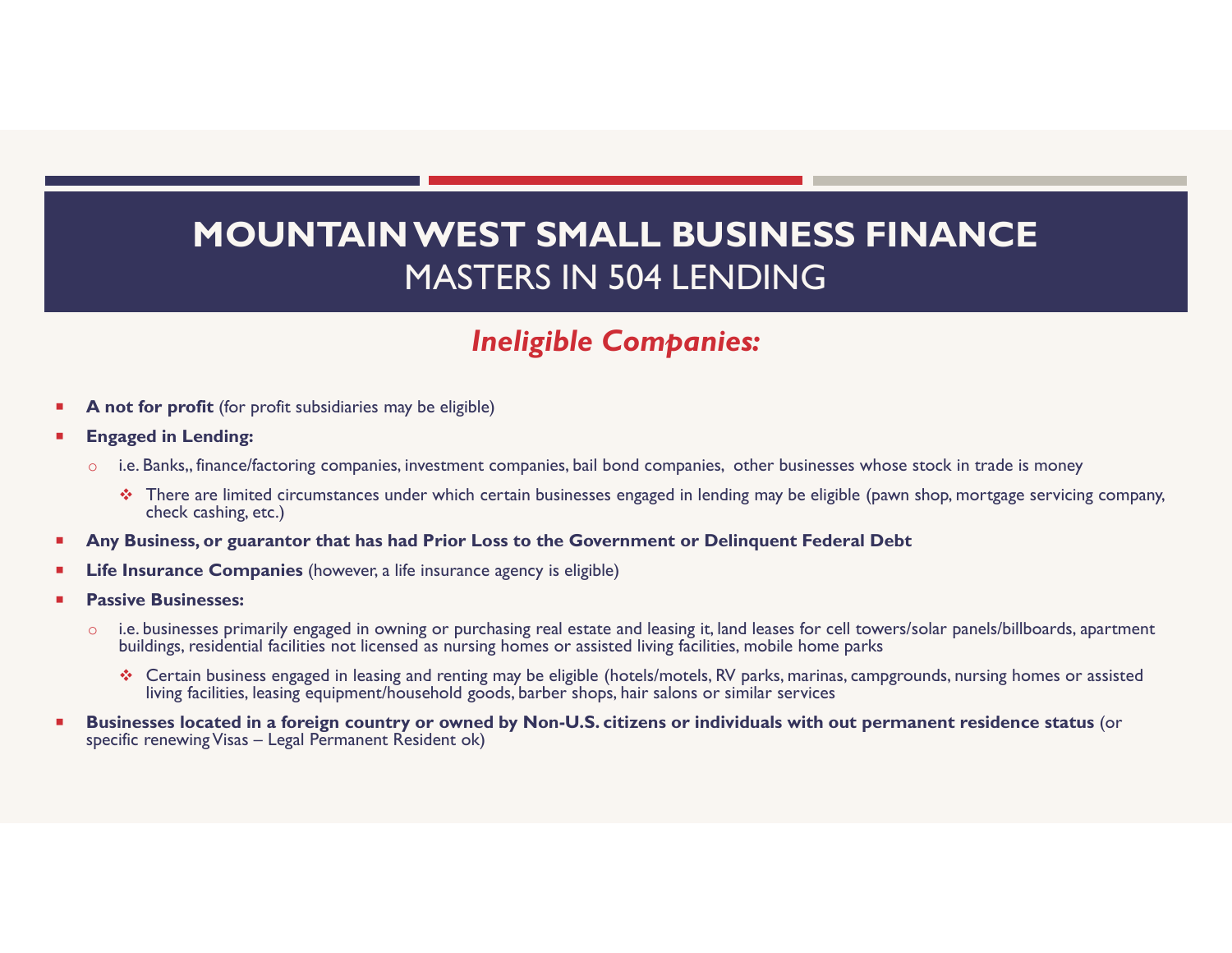# MOUNTAIN WEST SMALL BUSINESS FINANCE MASTERS IN 504 LENDING MOUNTAIN WEST SMALL BUSINESS FINANCE<br>
MASTERS IN 504 LENDING<br>
Ineligible Companies:<br>
Star profit (for profit subsidiaries may be eligible)<br>
aged in Lending:<br>
i.e. Banks, finance/faccoring companies, investment companies, b

## Ineligible Companies:

- $\blacksquare$  A not for profit (for profit subsidiaries may be eligible)
- Engaged in Lending:
	- $\circ$  i.e. Banks,, finance/factoring companies, investment companies, bail bond companies, other businesses whose stock in trade is money
- check cashing, etc.) Certain business engaged in Least 11 and the state of the proposition of the state of the state of the state of the state of the state of the state of the state of the state of the state of the state of the state of the st
- Any Business, or guarantor that has had Prior Loss to the Government or Delinquent Federal Debt
- Life Insurance Companies (however, a life insurance agency is eligible)
- Passive Businesses:
	- o i.e. businesses primarily engaged in owning or purchasing real estate and leasing it, land leases for cell towers/solar panels/billboards, apartment buildings, residential facilities not licensed as nursing homes or assisted living facilities, mobile home parks
		- living facilities, leasing equipment/household goods, barber shops, hair salons or similar services
- **Businesses located in a foreign country or owned by Non-U.S. citizens or individuals with out permanent residence status (or specific renewing Visas Legal Permanent Resident ok) Solution** International Comparison:<br> **Engaged in Lending:**<br>
The analyst for profit subsidiaries may be eligible)<br>  $\circ$  Le. Banks, finance/factoring companies, investment companies, bail bond companies, other<br>  $\circ$  There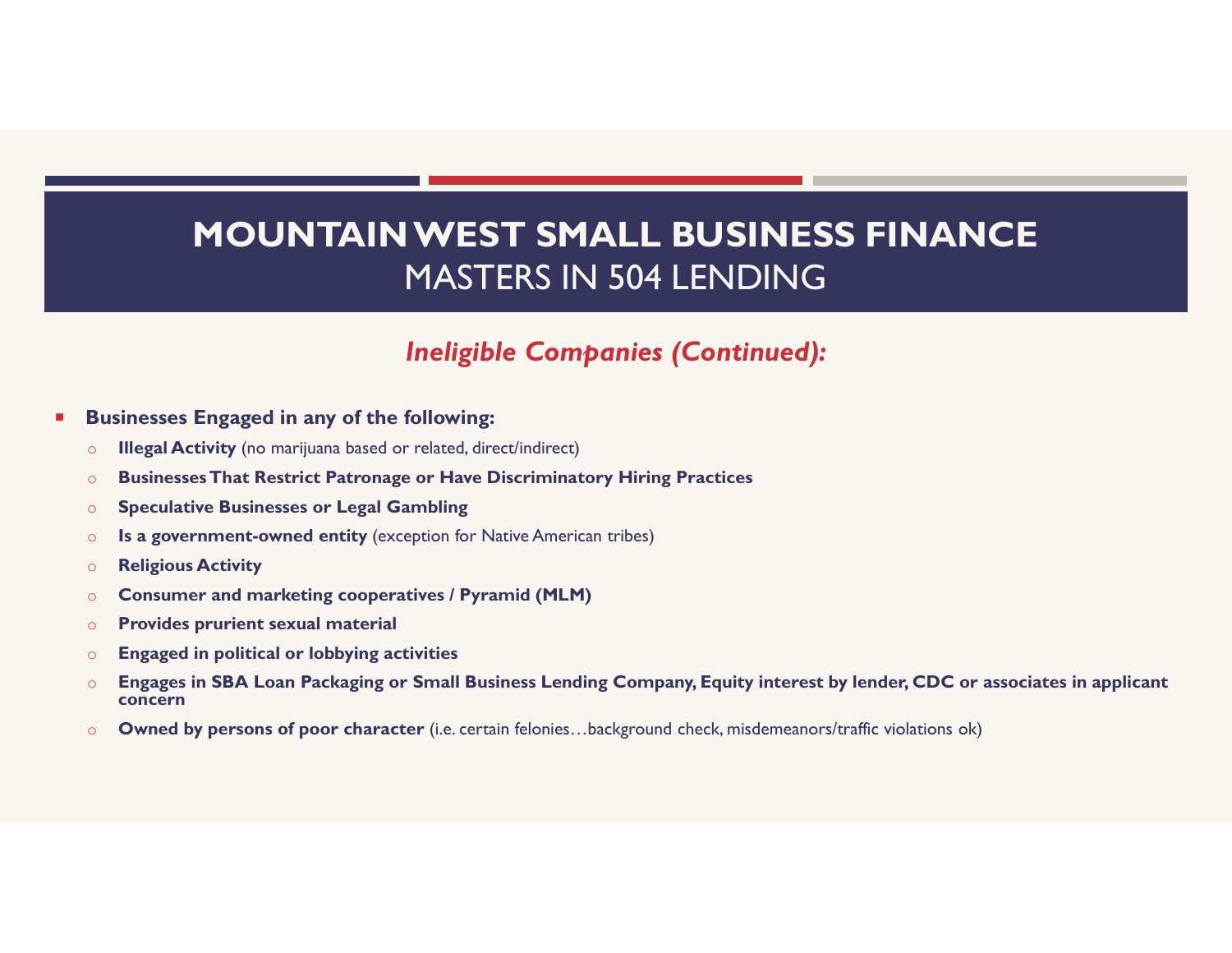## Ineligible Companies (Continued):

- **Businesses Engaged in any of the following:** 
	- o Illegal Activity (no marijuana based or related, direct/indirect)
	- o Businesses That Restrict Patronage or Have Discriminatory Hiring Practices
	- o Speculative Businesses or Legal Gambling
	- o Is a government-owned entity (exception for Native American tribes)
	- o Religious Activity
	- o Consumer and marketing cooperatives / Pyramid (MLM)
	- o Provides prurient sexual material
	- o Engaged in political or lobbying activities
	- o Engages in SBA Loan Packaging or Small Business Lending Company, Equity interest by lender, CDC or associates in applicant concern
	- o Owned by persons of poor character (i.e. certain felonies…background check, misdemeanors/traffic violations ok)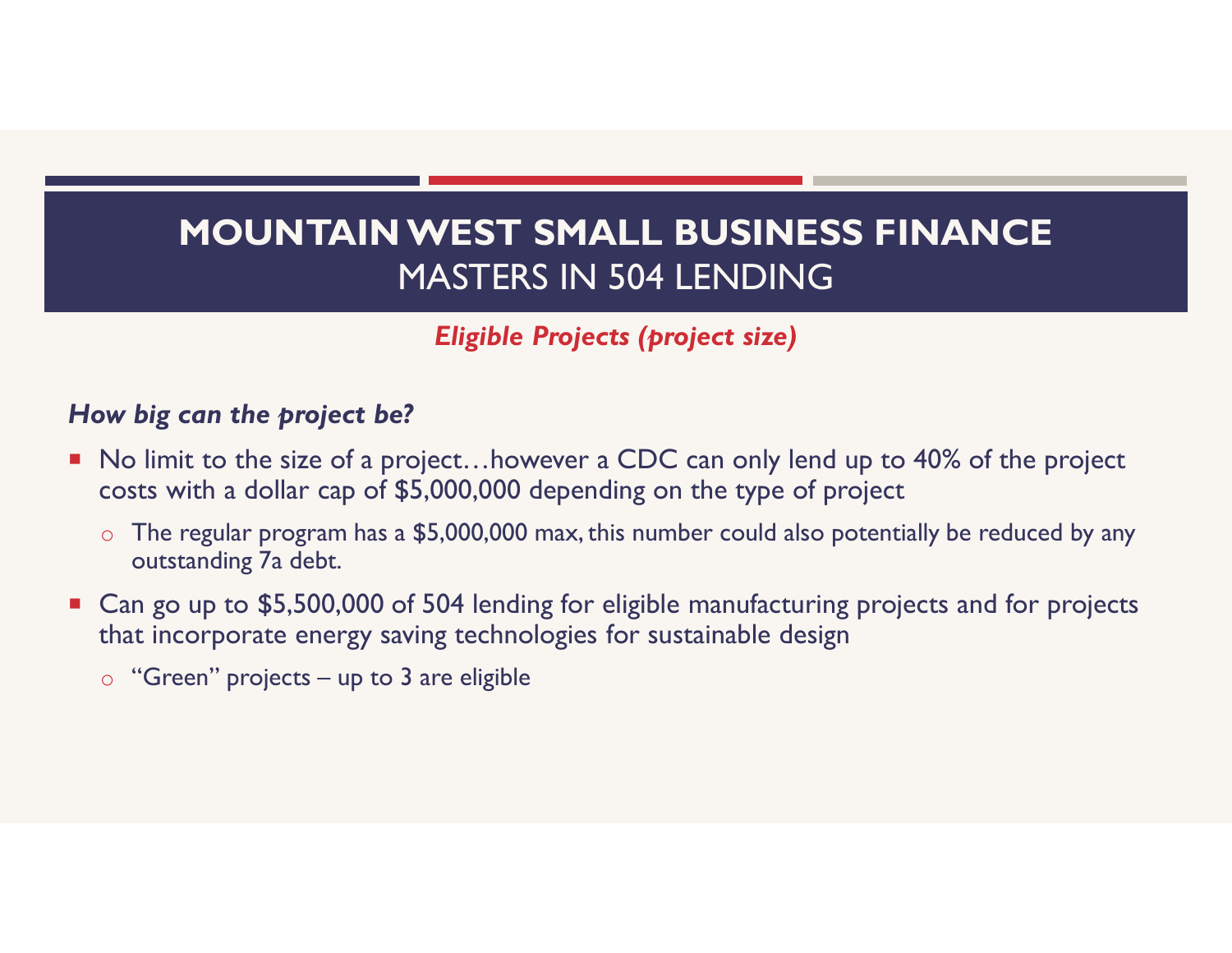Eligible Projects (project size)

## How big can the project be?

- No limit to the size of a project...however a CDC can only lend up to 40% of the project costs with a dollar cap of \$5,000,000 depending on the type of project **Eligible Projects (project size)**<br>**Eligible Projects (project size)**<br>**Eligible Project size)**<br>No limit to the size of a project...however a CDC can only lend<br>costs with a dollar cap of \$5,000,000 depending on the type of
	- $\circ$  The regular program has a \$5,000,000 max, this number could also potentially be reduced by any outstanding 7a debt.
- Can go up to \$5,500,000 of 504 lending for eligible manufacturing projects and for projects that incorporate energy saving technologies for sustainable design
	-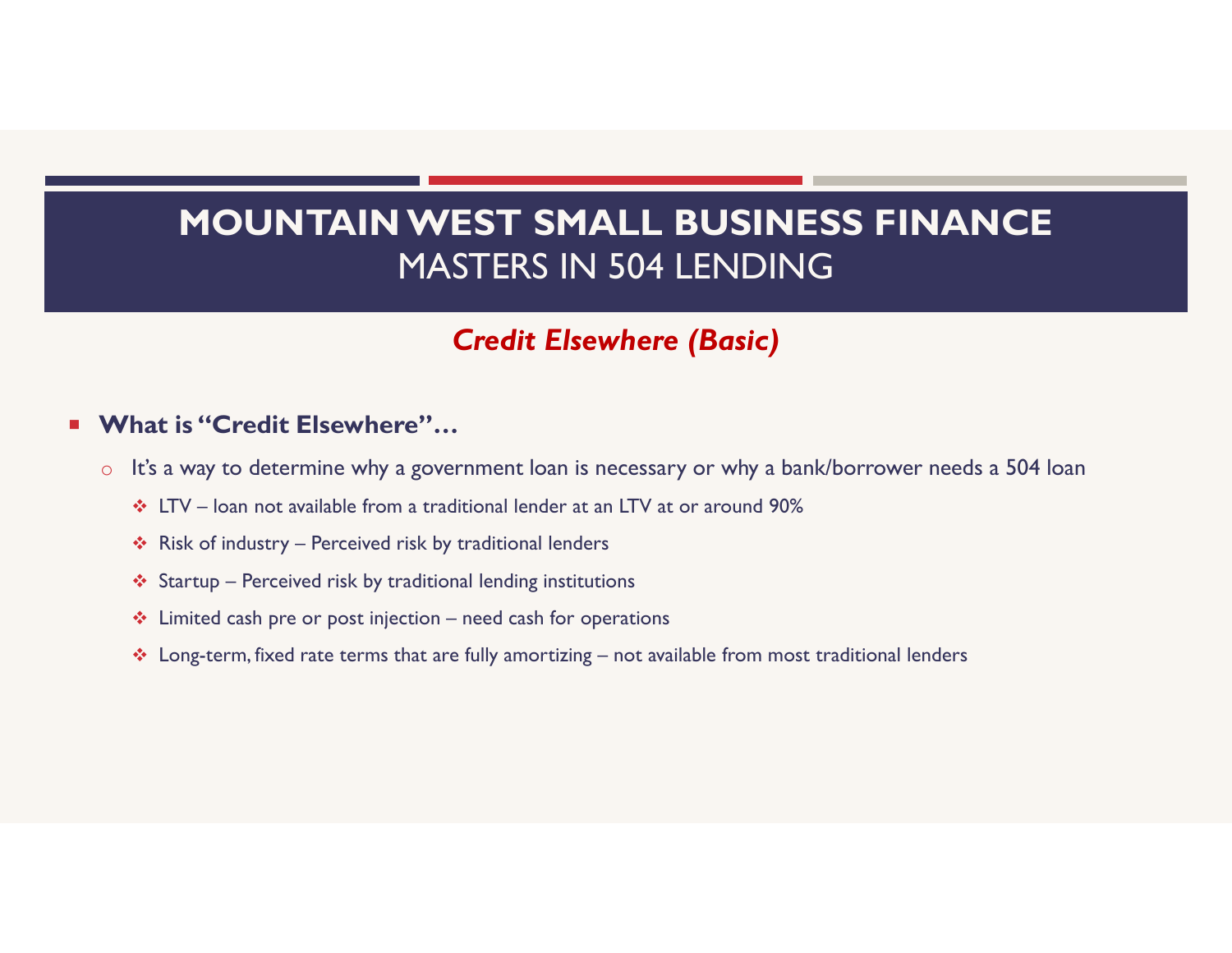# MOUNTAIN WEST SMALL BUSINESS FINANCE MASTERS IN 504 LENDING MOUNTAIN WEST SMALL BUSINESS FINANCE<br>
MASTERS IN 504 LENDING<br>
Credit Elsewhere (Basic)<br>
hat is "Credit Elsewhere"...<br>
It's a way to determine why a government loan is necessary or why a bank/borrower needs a 504 loan<br>
\* LT MOUNTAIN WEST SMALL BUSINE<br>
MASTERS IN 504 LENDINC<br>
Credit Elsewhere (Basic)<br>
hat is "Credit Elsewhere"...<br>
It's a way to determine why a government loan is necessary or why a bank<br>
\* LTV – loan not available from a tradit **START SMALL BUSINE:**<br>MASTERS IN 504 LENDINC<br>Credit Elsewhere (Basic)<br>hat is "Credit Elsewhere"...<br>It's a way to determine why a government loan is necessary or why a bank<br> $\div$  LTV – loan not available from a traditional l MOUN IAIN WEST SMALL BUSINESS FINA<br>
MASTERS IN 504 LENDING<br>
Credit Elsewhere (Basic)<br>
hat is "Credit Elsewhere"...<br>
It's a way to determine why a government loan is necessary or why a bank/borrower need<br>
\* LTV – loan not a MASTERS IN 504 LENDING<br> **Credit Elsewhere (Basic)**<br>
hat is "Credit Elsewhere"...<br>
It's a way to determine why a government loan is necessary or why a bank/borrower needs a 504 loan<br>
\* LTV – loan not available from a tradi

## Credit Elsewhere (Basic)

## ■ What is "Credit Elsewhere"...

- o It's a way to determine why a government loan is necessary or why a bank/borrower needs a 504 loan
	-
	-
	-
	-
	-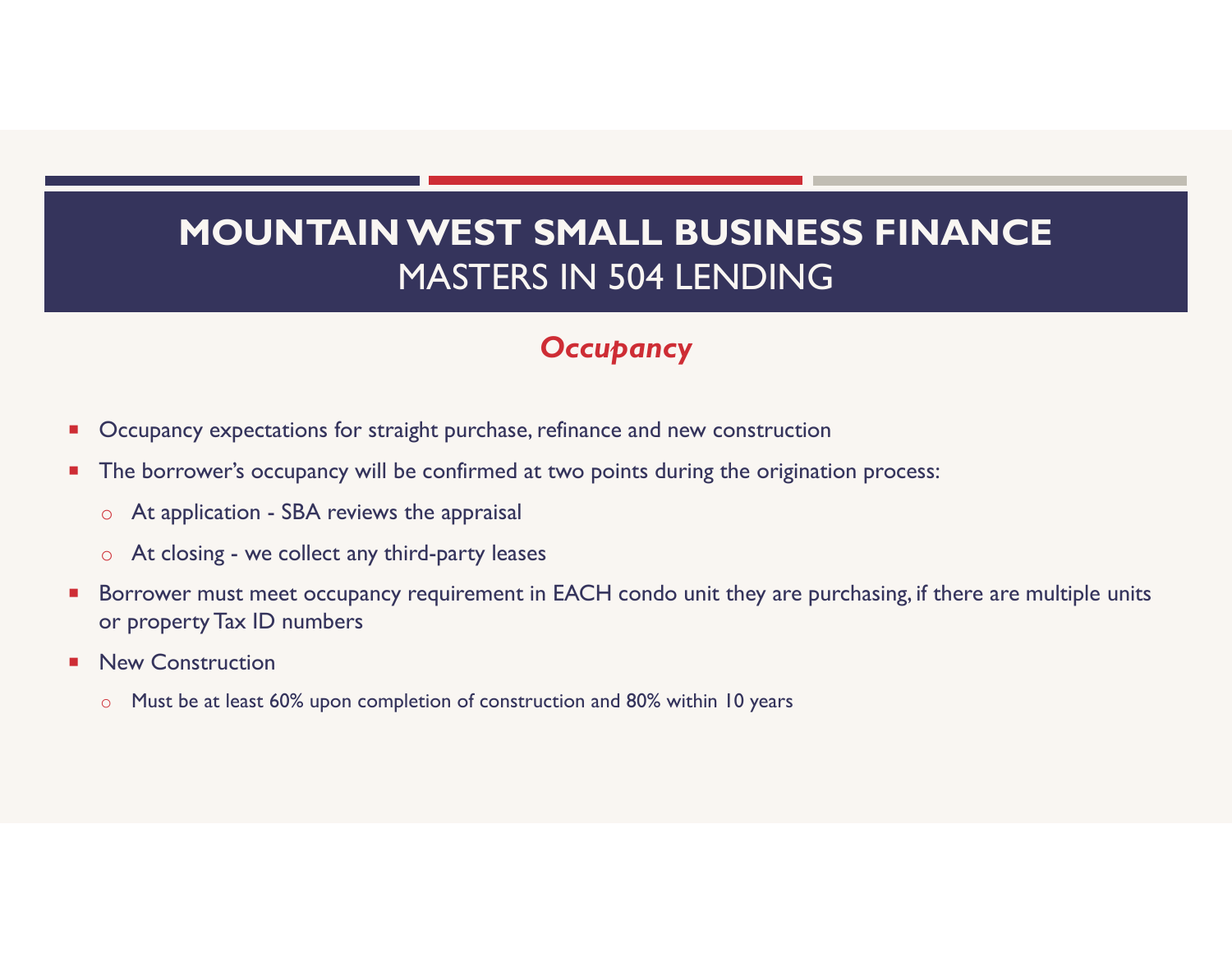# MOUNTAIN WEST SMALL BUSIN<br>MASTERS IN 504 LENDIN<br>Occupancy<br>Occupancy expectations for straight purchase, refinance and new construct<br>The borrower's occupancy will be confirmed at two points during the orige<br>of At applicatio MOUNTAIN WEST SMALL BUS<br>MASTERS IN 504 LENE<br>Occupancy expectations for straight purchase, refinance and new cons<br>The borrower's occupancy will be confirmed at two points during the<br>
The borrower's occupancy will be confirm MOUNTAIN WEST SMALL BUSINESS FINANCE MASTERS IN 504 LENDING

## **Occupancy**

- **Decupancy expectations for straight purchase, refinance and new construction**
- **The borrower's occupancy will be confirmed at two points during the origination process:** 
	-
	-
- Borrower must meet occupancy requirement in EACH condo unit they are purchasing, if there are multiple units or property Tax ID numbers
- **New Construction** 
	- o Must be at least 60% upon completion of construction and 80% within 10 years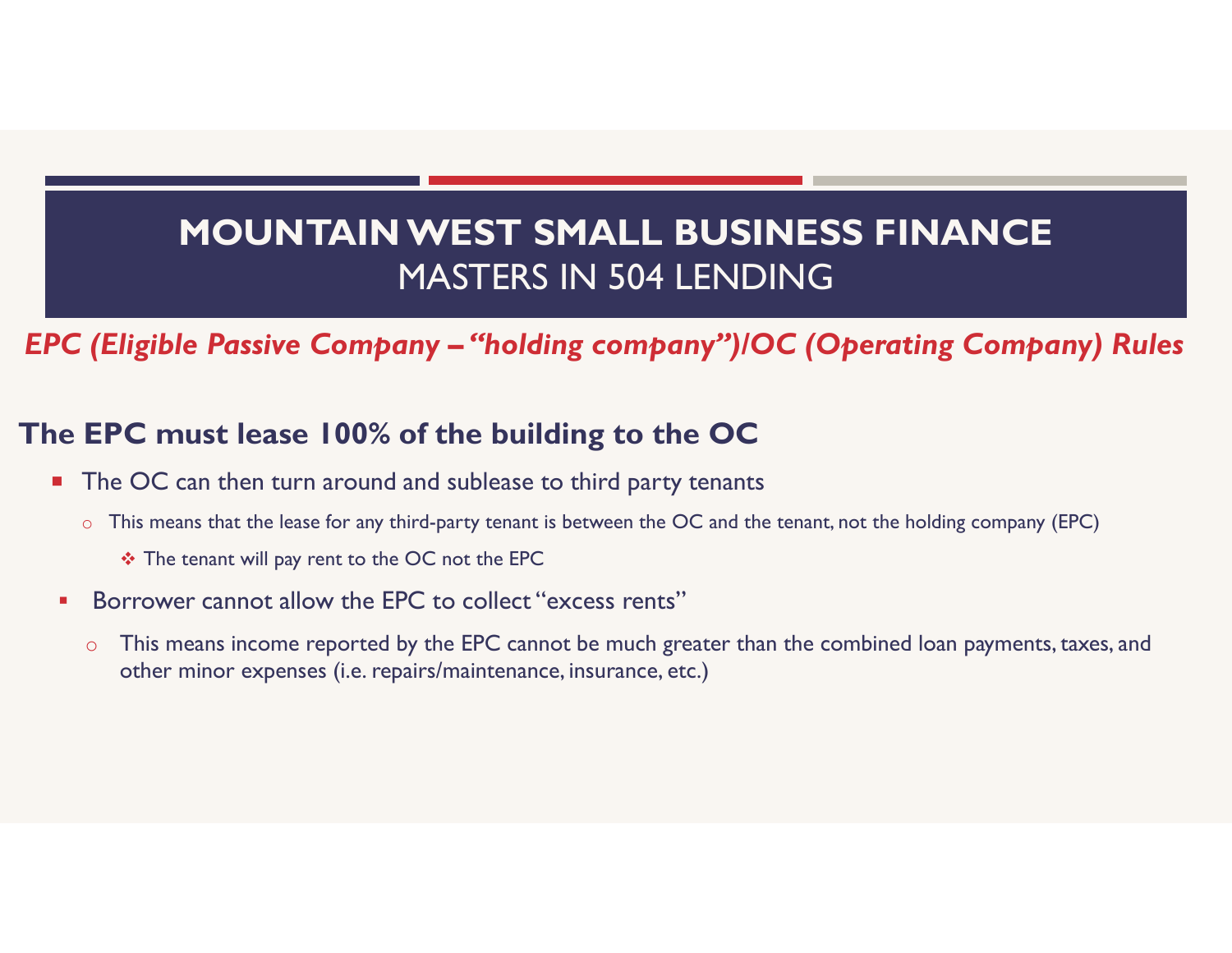# MOUNTAIN WEST SMALL BUSINESS FINANCE<br>
MASTERS IN 504 LENDING<br>
EPC (Eligible Passive Company – "holding company")/OC (Operating Company) Rules<br>
The EPC must lease 100% of the building to the OC MOUNTAIN WEST SMALL BUSINESS FINANCE MASTERS IN 504 LENDING

## The EPC must lease 100% of the building to the OC

- The OC can then turn around and sublease to third party tenants
	- o This means that the lease for any third-party tenant is between the OC and the tenant, not the holding company (EPC)
		- The tenant will pay rent to the OC not the EPC
- **Borrower cannot allow the EPC to collect "excess rents"** 
	- o This means income reported by the EPC cannot be much greater than the combined loan payments, taxes, and other minor expenses (i.e. repairs/maintenance, insurance, etc.)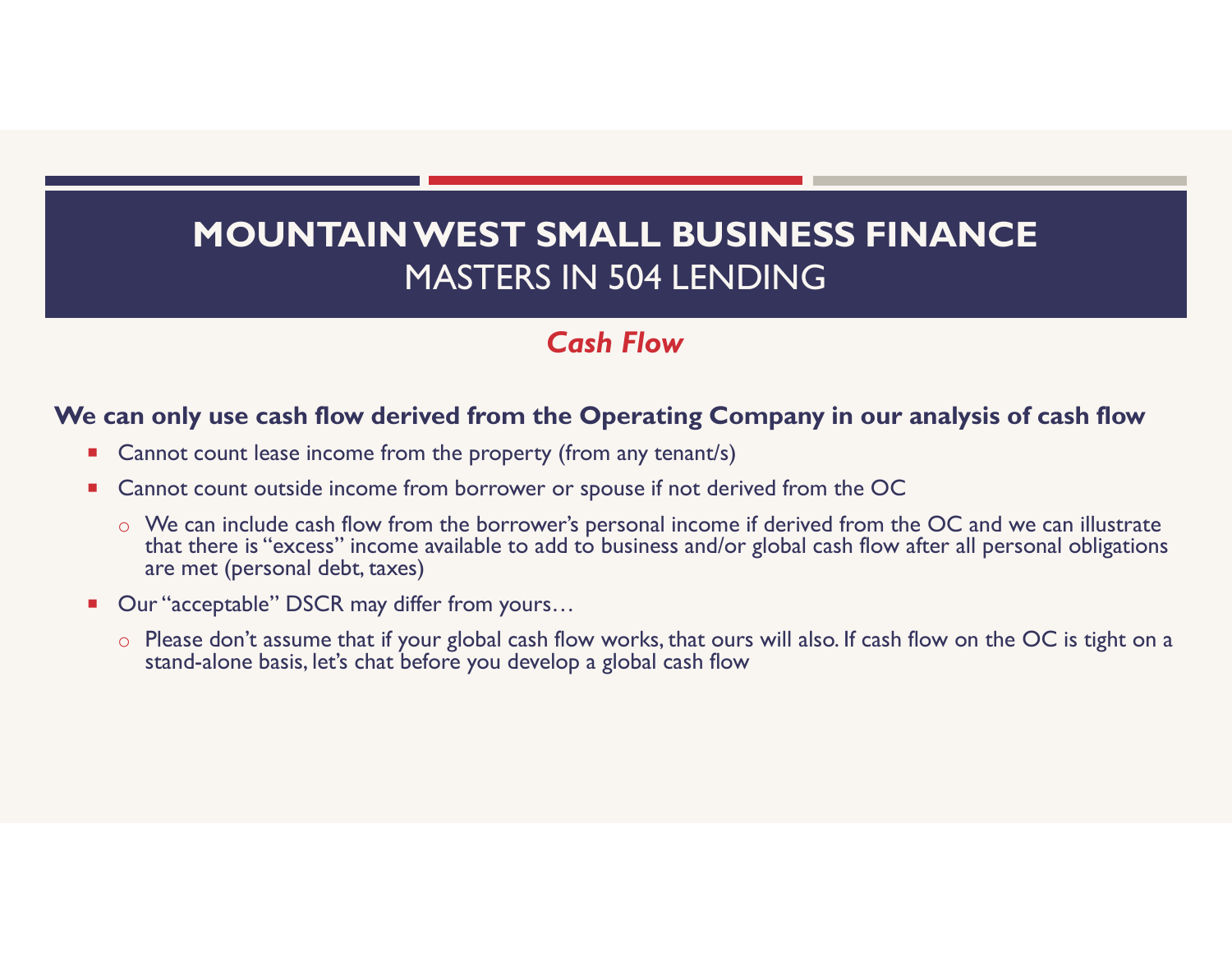## Cash Flow

### We can only use cash flow derived from the Operating Company in our analysis of cash flow

- Cannot count lease income from the property (from any tenant/s)
- Cannot count outside income from borrower or spouse if not derived from the OC
	- o We can include cash flow from the borrower's personal income if derived from the OC and we can illustrate that there is "excess" income available to add to business and/or global cash flow after all personal obligations are met (personal debt, taxes)
- Our "acceptable" DSCR may differ from yours...
	- o Please don't assume that if your global cash flow works, that ours will also. If cash flow on the OC is tight on a stand-alone basis, let's chat before you develop a global cash flow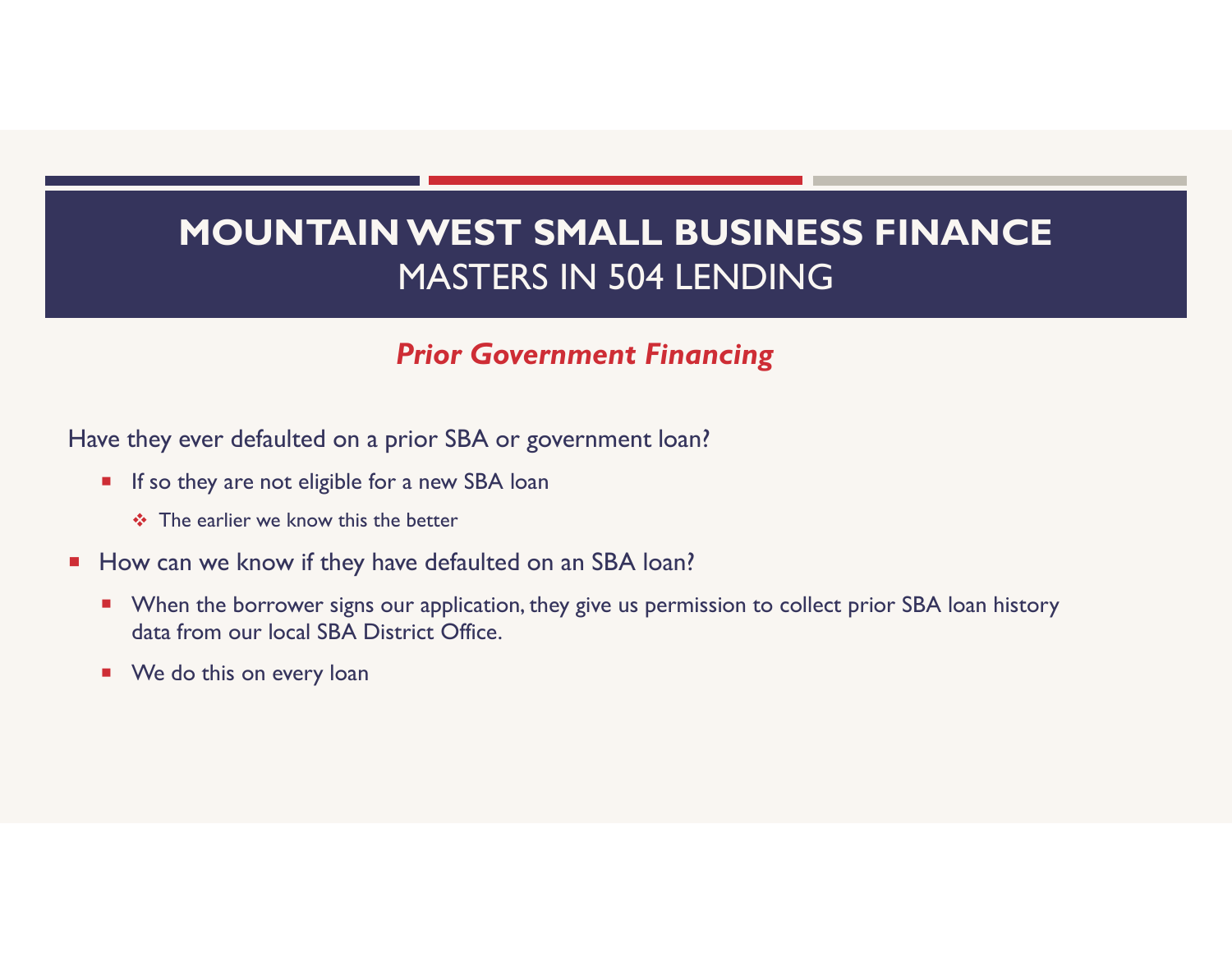## Prior Government Financing

Have they ever defaulted on a prior SBA or government loan?

- **If so they are not eligible for a new SBA loan** 
	- $\div$  The earlier we know this the better
- How can we know if they have defaulted on an SBA loan?
	- **Numer 19 and 10 Fermi is no to the SEA III A** loan bistory **Propelli and Tana is also in the SEA** loan history data from our local SBA District Office.
	- **We do this on every loan**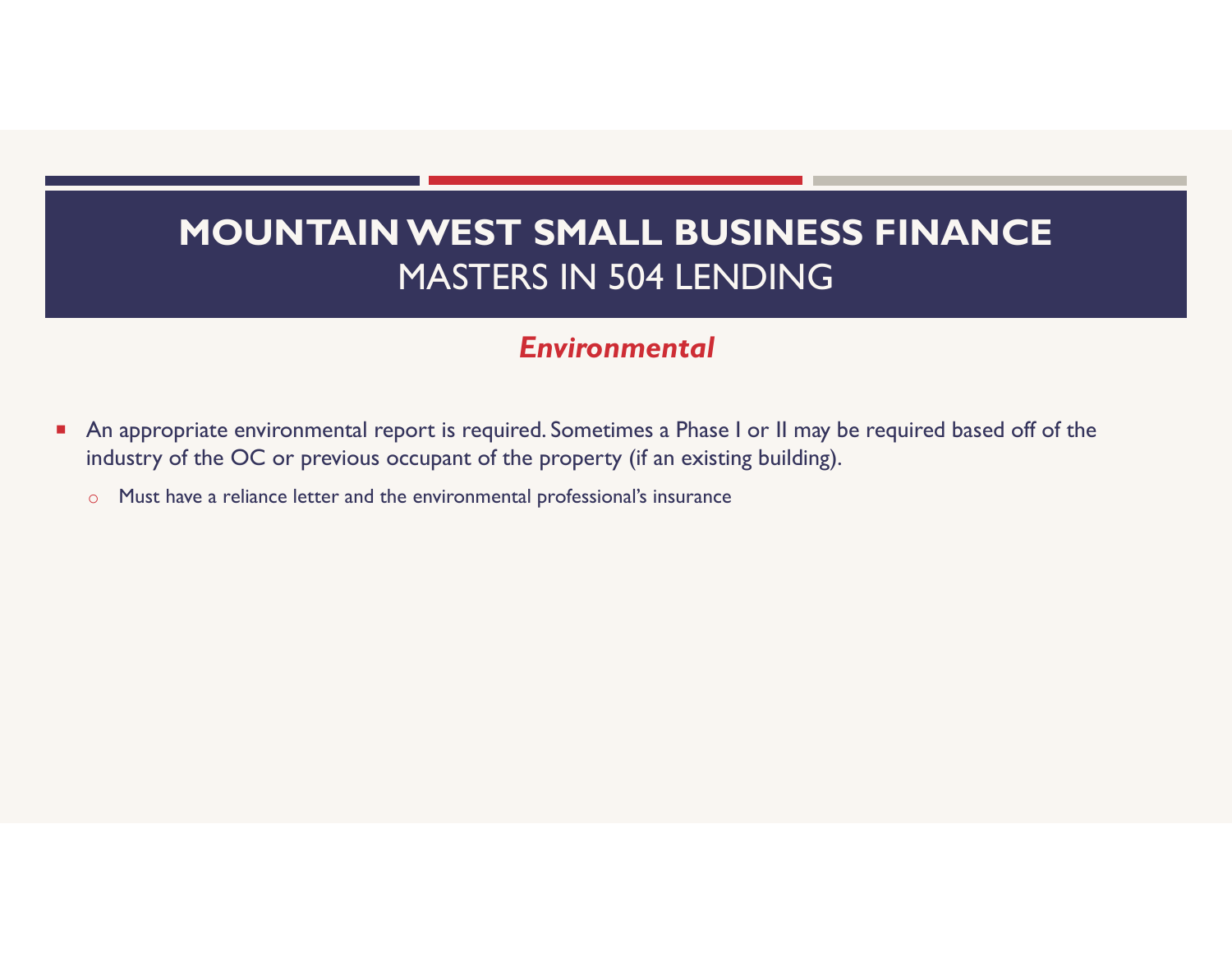## Environmental

- An appropriate environmental report is required. Sometimes a Phase I or II may be required based off of the industry of the OC or previous occupant of the property (if an existing building).
	- o Must have a reliance letter and the environmental professional's insurance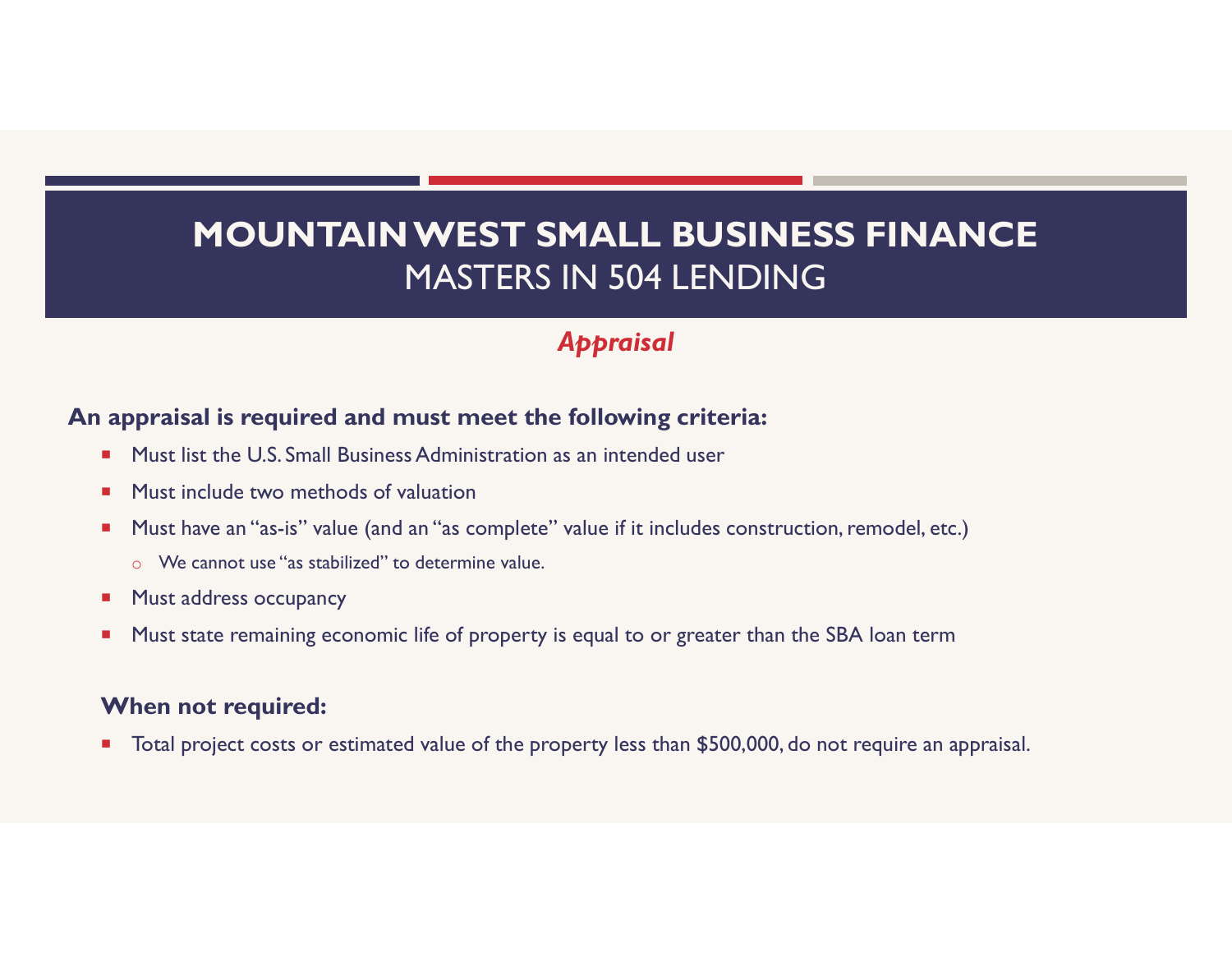## Appraisal

### An appraisal is required and must meet the following criteria:

- **Must list the U.S. Small Business Administration as an intended user**
- **Must include two methods of valuation**
- **Must have an "as-is" value (and an "as complete" value if it includes construction, remodel, etc.)** 
	- o We cannot use "as stabilized" to determine value.
- **Must address occupancy**
- **Must state remaining economic life of property is equal to or greater than the SBA loan term**

### When not required:

■ Total project costs or estimated value of the property less than \$500,000, do not require an appraisal.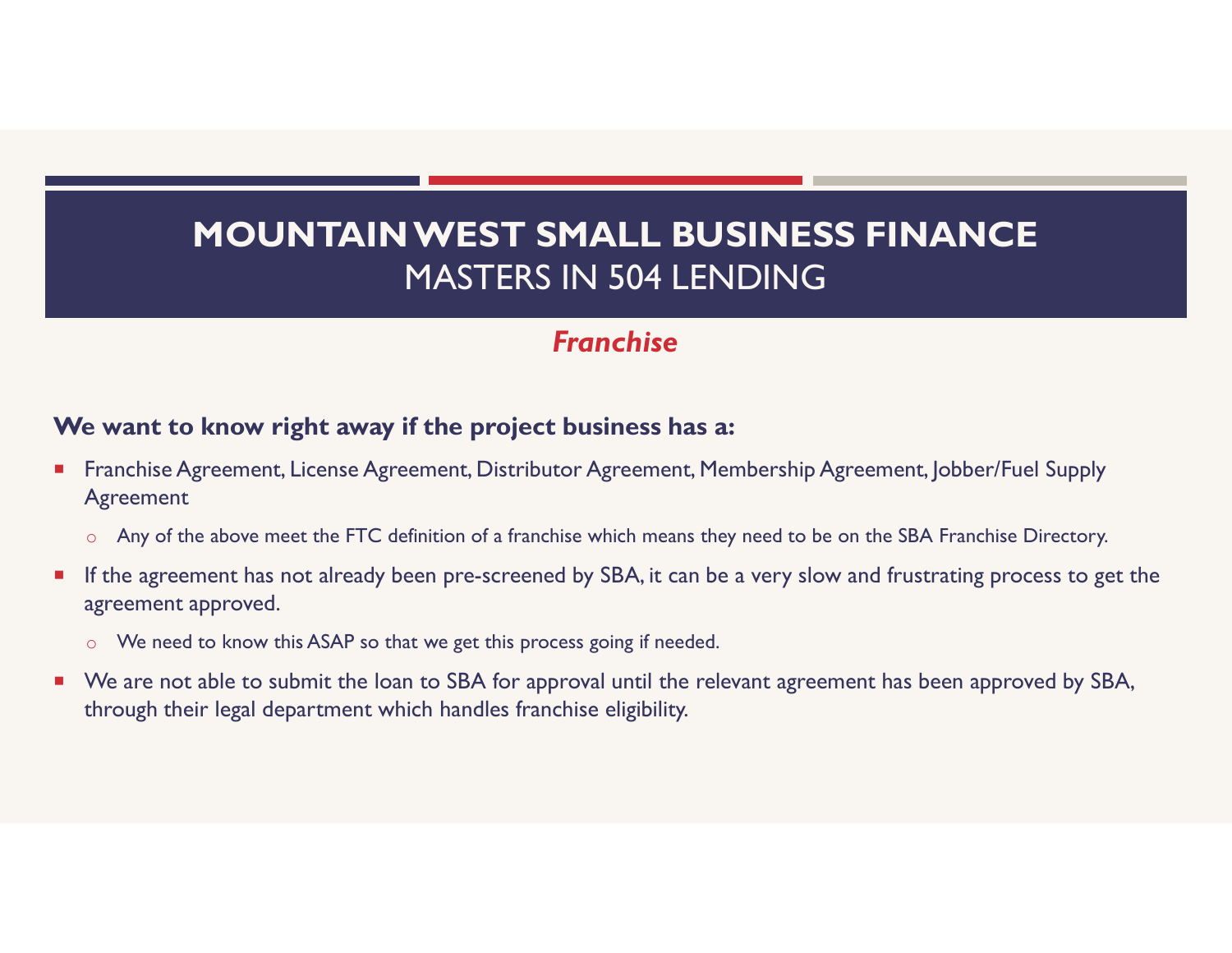## Franchise

## We want to know right away if the project business has a:

- Franchise Agreement, License Agreement, Distributor Agreement, Membership Agreement, Jobber/Fuel Supply Agreement
	- o Any of the above meet the FTC definition of a franchise which means they need to be on the SBA Franchise Directory.
- If the agreement has not already been pre-screened by SBA, it can be a very slow and frustrating process to get the agreement approved.
	- o We need to know this ASAP so that we get this process going if needed.
- We are not able to submit the loan to SBA for approval until the relevant agreement has been approved by SBA, through their legal department which handles franchise eligibility.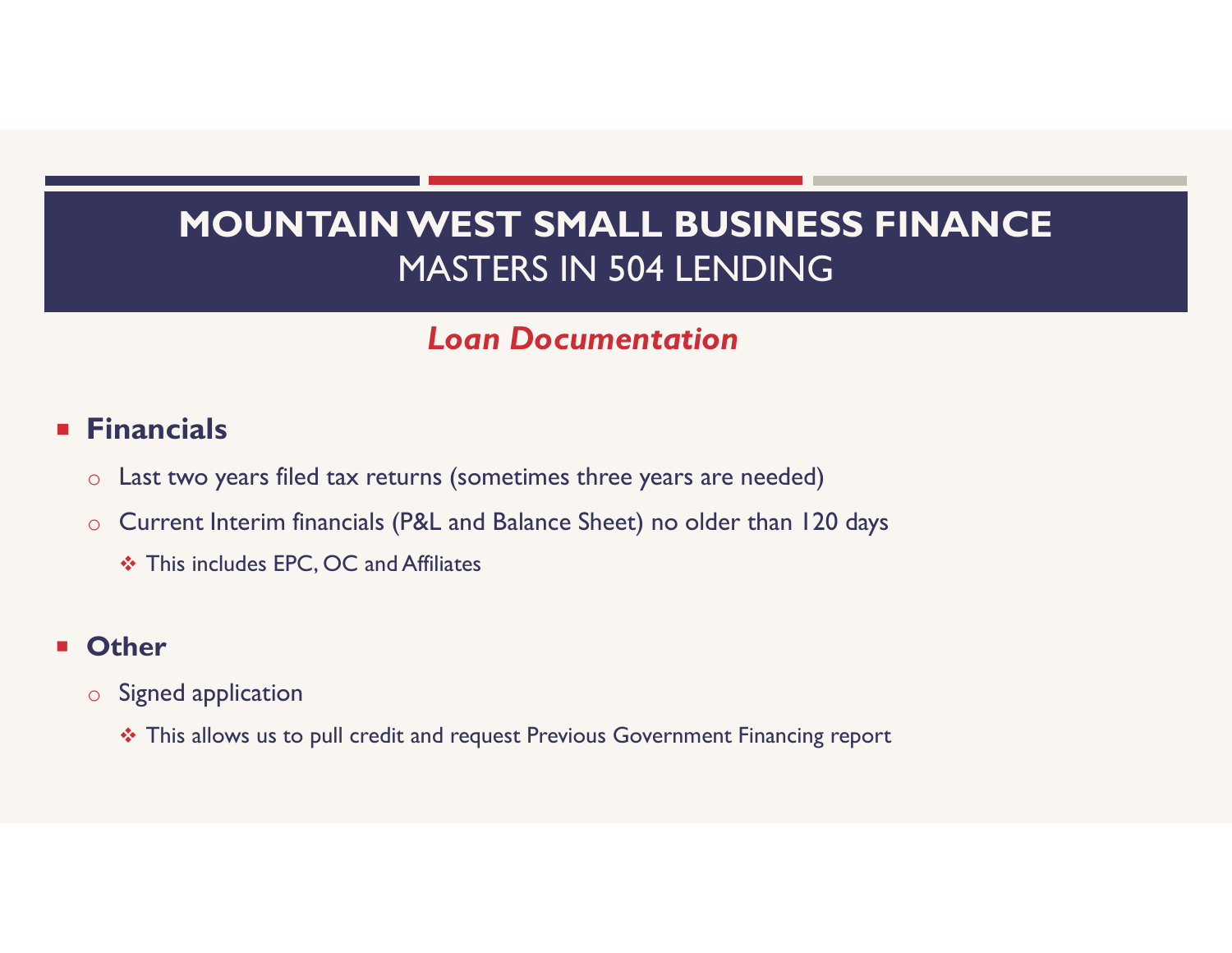# Loan Documentation

## **Financials**

- o Last two years filed tax returns (sometimes three years are needed)
- o Current Interim financials (P&L and Balance Sheet) no older than 120 days
	- This includes EPC, OC and Affiliates

## **n** Other

- o Signed application
	- \* This allows us to pull credit and request Previous Government Financing report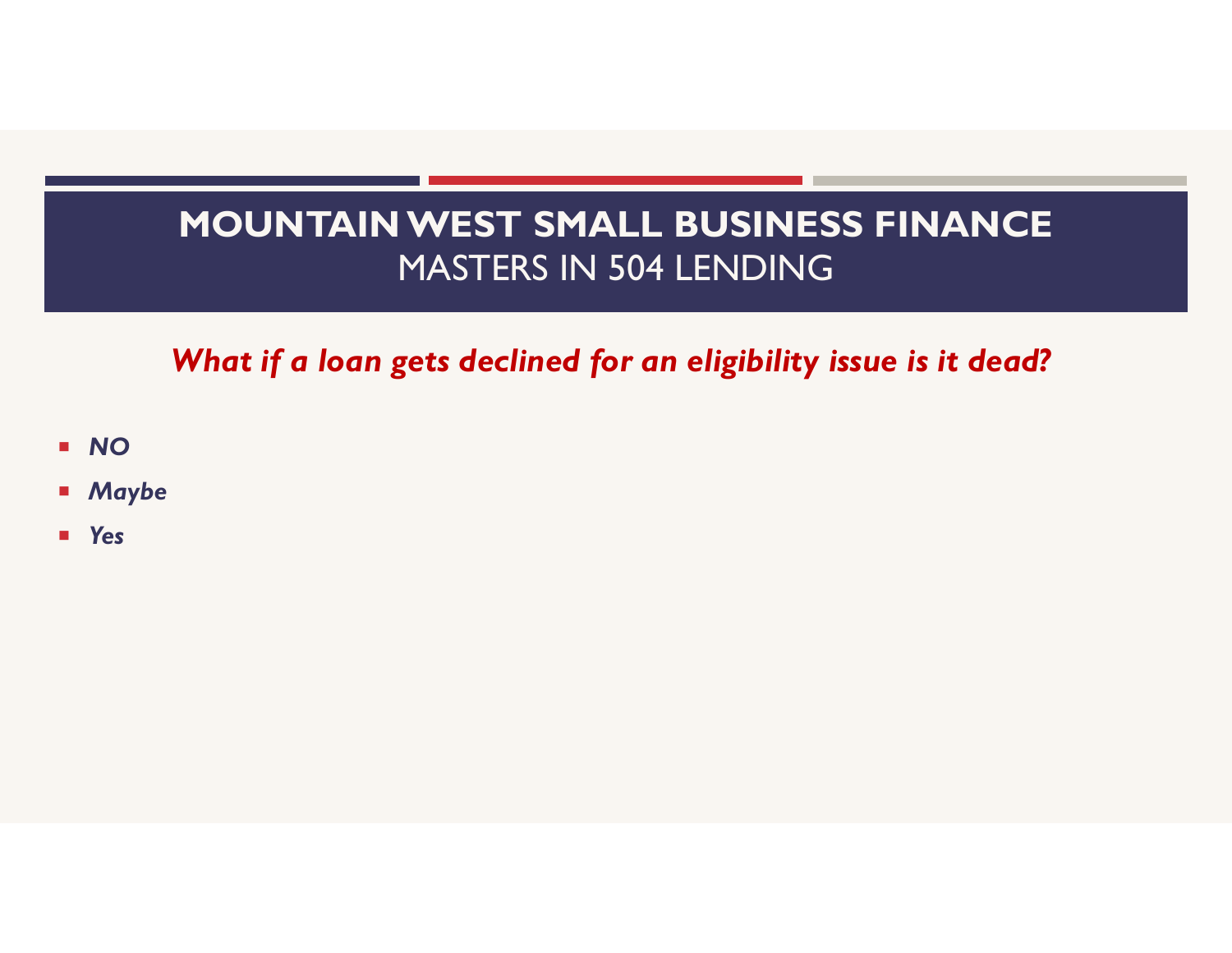What if a loan gets declined for an eligibility issue is it dead?

- NO
- **Maybe**
- **Nes**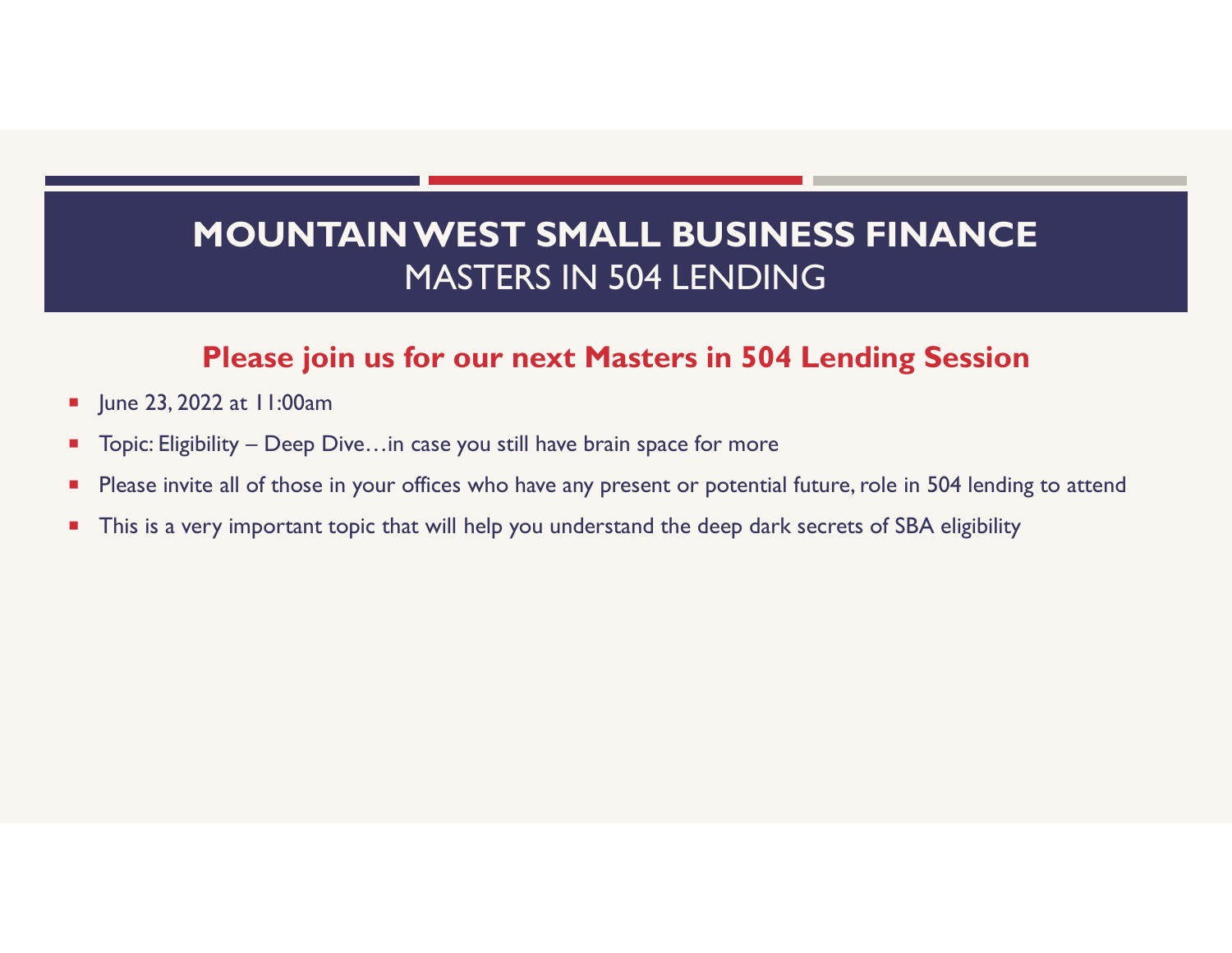# MOUNTAIN WEST SMALL BUSINESS FINANCE MASTERS IN 504 LENDING MOUNTAIN WEST SMALL BUSINESS FINANC<br>MASTERS IN 504 LENDING<br>Please join us for our next Masters in 504 Lending Sessio<br>Figure 23, 2022 at 11:00am<br>Topic: Eligibility – Deep Dive…in case you still have brain space for more<br>Fle

## Please join us for our next Masters in 504 Lending Session

- June 23, 2022 at 11:00am
- 
- **Please invite all of those in your offices who have any present or potential future, role in 504 lending to attend**
- **This is a very important topic that will help you understand the deep dark secrets of SBA eligibility**